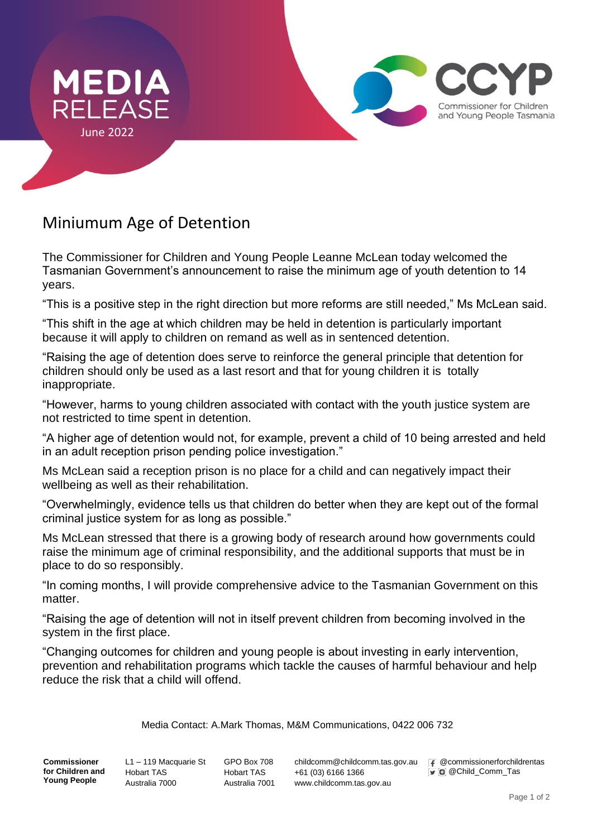

## Miniumum Age of Detention

The Commissioner for Children and Young People Leanne McLean today welcomed the Tasmanian Government's announcement to raise the minimum age of youth detention to 14 years.

"This is a positive step in the right direction but more reforms are still needed," Ms McLean said.

"This shift in the age at which children may be held in detention is particularly important because it will apply to children on remand as well as in sentenced detention.

"Raising the age of detention does serve to reinforce the general principle that detention for children should only be used as a last resort and that for young children it is totally inappropriate.

"However, harms to young children associated with contact with the youth justice system are not restricted to time spent in detention.

"A higher age of detention would not, for example, prevent a child of 10 being arrested and held in an adult reception prison pending police investigation."

Ms McLean said a reception prison is no place for a child and can negatively impact their wellbeing as well as their rehabilitation.

"Overwhelmingly, evidence tells us that children do better when they are kept out of the formal criminal justice system for as long as possible."

Ms McLean stressed that there is a growing body of research around how governments could raise the minimum age of criminal responsibility, and the additional supports that must be in place to do so responsibly.

"In coming months, I will provide comprehensive advice to the Tasmanian Government on this matter.

"Raising the age of detention will not in itself prevent children from becoming involved in the system in the first place.

"Changing outcomes for children and young people is about investing in early intervention, prevention and rehabilitation programs which tackle the causes of harmful behaviour and help reduce the risk that a child will offend.

## Media Contact: A.Mark Thomas, M&M Communications, 0422 006 732

**Commissioner for Children and Young People**

L1 – 119 Macquarie St Hobart TAS Australia 7000

GPO Box 708 Hobart TAS Australia 7001 childcomm@childcomm.tas.gov.au +61 (03) 6166 1366 www.childcomm.tas.gov.au

 @commissionerforchildrentas  $\nabla$  @ Child\_Comm\_Tas

Commissioner for Children and Young People Tasmania